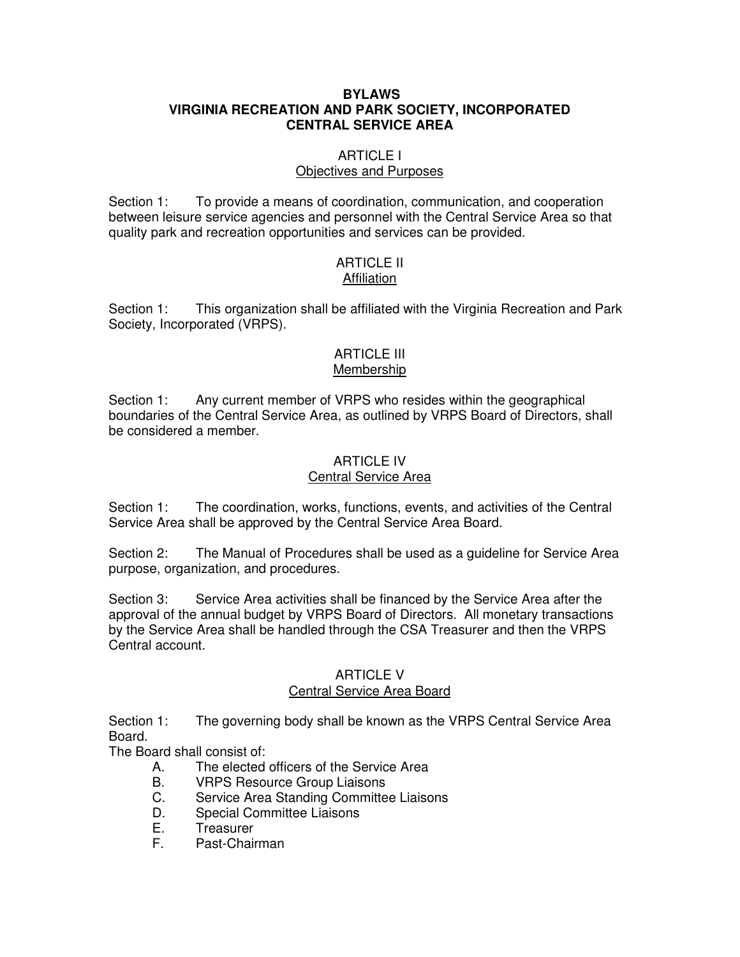## **BYLAWS VIRGINIA RECREATION AND PARK SOCIETY, INCORPORATED CENTRAL SERVICE AREA**

# ARTICLE I

## Objectives and Purposes

Section 1: To provide a means of coordination, communication, and cooperation between leisure service agencies and personnel with the Central Service Area so that quality park and recreation opportunities and services can be provided.

#### ARTICLE II **Affiliation**

Section 1: This organization shall be affiliated with the Virginia Recreation and Park Society, Incorporated (VRPS).

#### ARTICLE III Membership

Section 1: Any current member of VRPS who resides within the geographical boundaries of the Central Service Area, as outlined by VRPS Board of Directors, shall be considered a member.

#### ARTICLE IV Central Service Area

Section 1: The coordination, works, functions, events, and activities of the Central Service Area shall be approved by the Central Service Area Board.

Section 2: The Manual of Procedures shall be used as a guideline for Service Area purpose, organization, and procedures.

Section 3: Service Area activities shall be financed by the Service Area after the approval of the annual budget by VRPS Board of Directors. All monetary transactions by the Service Area shall be handled through the CSA Treasurer and then the VRPS Central account.

# ARTICLE V Central Service Area Board

Section 1: The governing body shall be known as the VRPS Central Service Area Board.

The Board shall consist of:

- A. The elected officers of the Service Area
- B. VRPS Resource Group Liaisons<br>C. Service Area Standing Committe
- Service Area Standing Committee Liaisons
- D. Special Committee Liaisons
- E. Treasurer
- F. Past-Chairman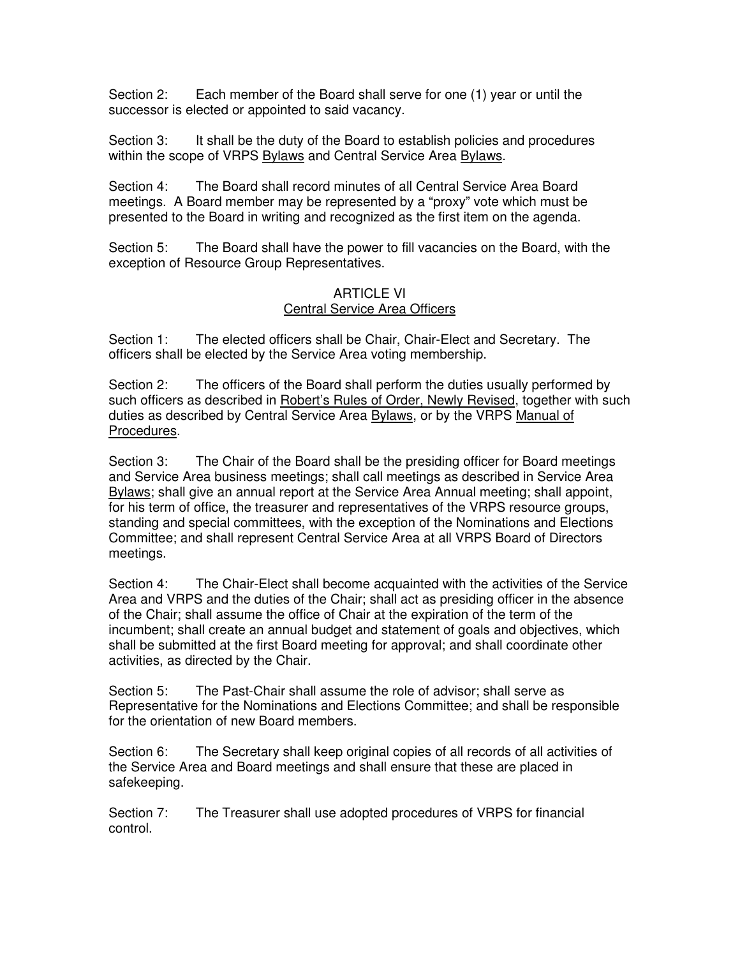Section 2: Each member of the Board shall serve for one (1) year or until the successor is elected or appointed to said vacancy.

Section 3: It shall be the duty of the Board to establish policies and procedures within the scope of VRPS Bylaws and Central Service Area Bylaws.

Section 4: The Board shall record minutes of all Central Service Area Board meetings. A Board member may be represented by a "proxy" vote which must be presented to the Board in writing and recognized as the first item on the agenda.

Section 5: The Board shall have the power to fill vacancies on the Board, with the exception of Resource Group Representatives.

# ARTICLE VI Central Service Area Officers

Section 1: The elected officers shall be Chair, Chair-Elect and Secretary. The officers shall be elected by the Service Area voting membership.

Section 2: The officers of the Board shall perform the duties usually performed by such officers as described in Robert's Rules of Order, Newly Revised, together with such duties as described by Central Service Area Bylaws, or by the VRPS Manual of Procedures.

Section 3: The Chair of the Board shall be the presiding officer for Board meetings and Service Area business meetings; shall call meetings as described in Service Area Bylaws; shall give an annual report at the Service Area Annual meeting; shall appoint, for his term of office, the treasurer and representatives of the VRPS resource groups, standing and special committees, with the exception of the Nominations and Elections Committee; and shall represent Central Service Area at all VRPS Board of Directors meetings.

Section 4: The Chair-Elect shall become acquainted with the activities of the Service Area and VRPS and the duties of the Chair; shall act as presiding officer in the absence of the Chair; shall assume the office of Chair at the expiration of the term of the incumbent; shall create an annual budget and statement of goals and objectives, which shall be submitted at the first Board meeting for approval; and shall coordinate other activities, as directed by the Chair.

Section 5: The Past-Chair shall assume the role of advisor; shall serve as Representative for the Nominations and Elections Committee; and shall be responsible for the orientation of new Board members.

Section 6: The Secretary shall keep original copies of all records of all activities of the Service Area and Board meetings and shall ensure that these are placed in safekeeping.

Section 7: The Treasurer shall use adopted procedures of VRPS for financial control.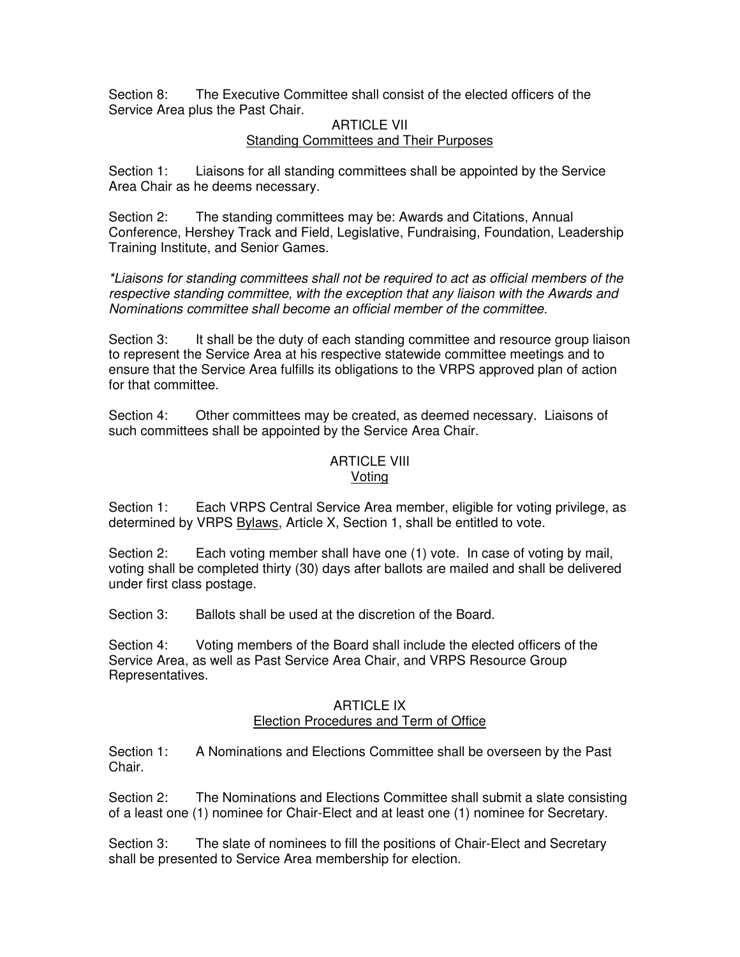Section 8: The Executive Committee shall consist of the elected officers of the Service Area plus the Past Chair.

#### **ARTICLE VII** Standing Committees and Their Purposes

Section 1: Liaisons for all standing committees shall be appointed by the Service Area Chair as he deems necessary.

Section 2: The standing committees may be: Awards and Citations, Annual Conference, Hershey Track and Field, Legislative, Fundraising, Foundation, Leadership Training Institute, and Senior Games.

\*Liaisons for standing committees shall not be required to act as official members of the respective standing committee, with the exception that any liaison with the Awards and Nominations committee shall become an official member of the committee.

Section 3: It shall be the duty of each standing committee and resource group liaison to represent the Service Area at his respective statewide committee meetings and to ensure that the Service Area fulfills its obligations to the VRPS approved plan of action for that committee.

Section 4: Other committees may be created, as deemed necessary. Liaisons of such committees shall be appointed by the Service Area Chair.

#### ARTICLE VIII Voting

Section 1: Each VRPS Central Service Area member, eligible for voting privilege, as determined by VRPS Bylaws, Article X, Section 1, shall be entitled to vote.

Section 2: Each voting member shall have one (1) vote. In case of voting by mail, voting shall be completed thirty (30) days after ballots are mailed and shall be delivered under first class postage.

Section 3: Ballots shall be used at the discretion of the Board.

Section 4: Voting members of the Board shall include the elected officers of the Service Area, as well as Past Service Area Chair, and VRPS Resource Group Representatives.

#### ARTICLE IX Election Procedures and Term of Office

Section 1: A Nominations and Elections Committee shall be overseen by the Past Chair.

Section 2: The Nominations and Elections Committee shall submit a slate consisting of a least one (1) nominee for Chair-Elect and at least one (1) nominee for Secretary.

Section 3: The slate of nominees to fill the positions of Chair-Elect and Secretary shall be presented to Service Area membership for election.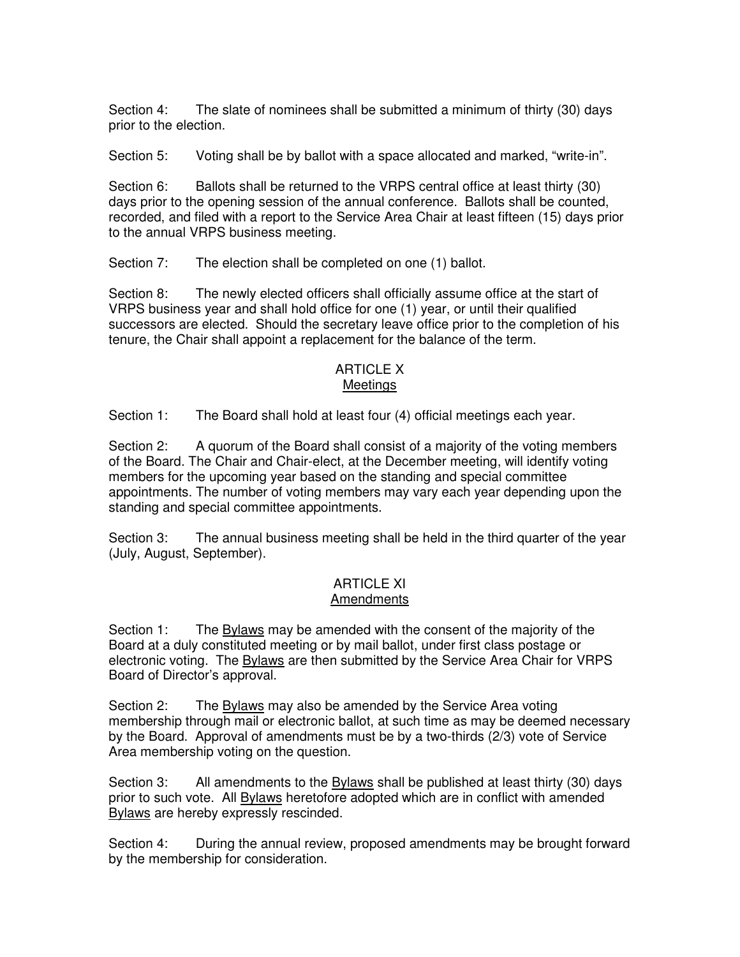Section 4: The slate of nominees shall be submitted a minimum of thirty (30) days prior to the election.

Section 5: Voting shall be by ballot with a space allocated and marked, "write-in".

Section 6: Ballots shall be returned to the VRPS central office at least thirty (30) days prior to the opening session of the annual conference. Ballots shall be counted, recorded, and filed with a report to the Service Area Chair at least fifteen (15) days prior to the annual VRPS business meeting.

Section 7: The election shall be completed on one (1) ballot.

Section 8: The newly elected officers shall officially assume office at the start of VRPS business year and shall hold office for one (1) year, or until their qualified successors are elected. Should the secretary leave office prior to the completion of his tenure, the Chair shall appoint a replacement for the balance of the term.

## ARTICLE X Meetings

Section 1: The Board shall hold at least four (4) official meetings each year.

Section 2: A quorum of the Board shall consist of a majority of the voting members of the Board. The Chair and Chair-elect, at the December meeting, will identify voting members for the upcoming year based on the standing and special committee appointments. The number of voting members may vary each year depending upon the standing and special committee appointments.

Section 3: The annual business meeting shall be held in the third quarter of the year (July, August, September).

## ARTICLE XI Amendments

Section 1: The **Bylaws** may be amended with the consent of the majority of the Board at a duly constituted meeting or by mail ballot, under first class postage or electronic voting. The Bylaws are then submitted by the Service Area Chair for VRPS Board of Director's approval.

Section 2: The Bylaws may also be amended by the Service Area voting membership through mail or electronic ballot, at such time as may be deemed necessary by the Board. Approval of amendments must be by a two-thirds (2/3) vote of Service Area membership voting on the question.

Section 3: All amendments to the Bylaws shall be published at least thirty (30) days prior to such vote. All Bylaws heretofore adopted which are in conflict with amended Bylaws are hereby expressly rescinded.

Section 4: During the annual review, proposed amendments may be brought forward by the membership for consideration.